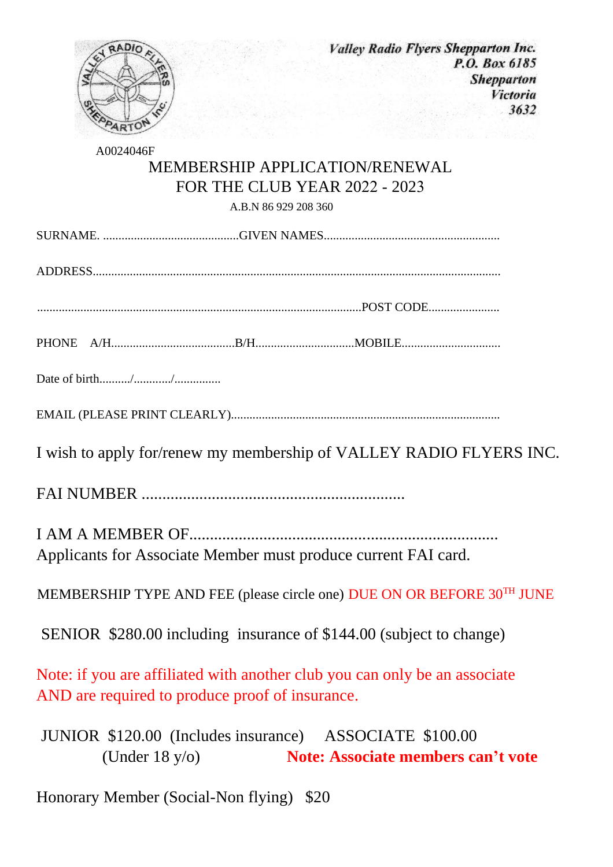

A0024046F

## MEMBERSHIP APPLICATION/RENEWAL FOR THE CLUB YEAR 2022 - 2023

A.B.N 86 929 208 360

ADDRESS....................................................................................................................................

.........................................................................................................POST CODE.......................

PHONE A/H........................................B/H................................MOBILE................................

Date of birth........../............/...............

EMAIL (PLEASE PRINT CLEARLY).......................................................................................

I wish to apply for/renew my membership of VALLEY RADIO FLYERS INC.

FAI NUMBER ................................................................

I AM A MEMBER OF........................................................................... Applicants for Associate Member must produce current FAI card.

MEMBERSHIP TYPE AND FEE (please circle one) DUE ON OR BEFORE 30TH JUNE

SENIOR \$280.00 including insurance of \$144.00 (subject to change)

Note: if you are affiliated with another club you can only be an associate AND are required to produce proof of insurance.

 JUNIOR \$120.00 (Includes insurance) ASSOCIATE \$100.00 (Under 18 y/o) **Note: Associate members can't vote**

Honorary Member (Social-Non flying) \$20